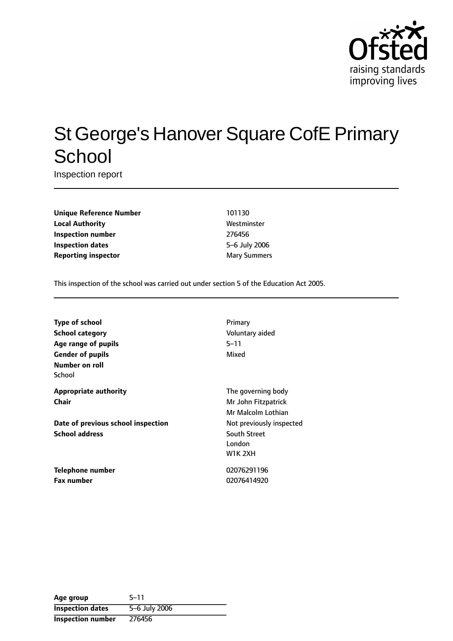

# St George's Hanover Square CofE Primary **School**

Inspection report

**Unique Reference Number** 101130 **Local Authority Mestronic Mestronic Westminster Inspection number** 276456 **Inspection dates** 5-6 July 2006 **Reporting inspector** Mary Summers

This inspection of the school was carried out under section 5 of the Education Act 2005.

| <b>Type of school</b>              | Primary                  |
|------------------------------------|--------------------------|
| <b>School category</b>             | Voluntary aided          |
| Age range of pupils                | 5–11                     |
| <b>Gender of pupils</b>            | Mixed                    |
| Number on roll                     |                          |
| School                             |                          |
| <b>Appropriate authority</b>       | The governing body       |
| Chair                              | Mr John Fitzpatrick      |
|                                    | Mr Malcolm Lothian       |
| Date of previous school inspection | Not previously inspected |
| <b>School address</b>              | <b>South Street</b>      |
|                                    | London                   |
|                                    | <b>W1K 2XH</b>           |
| Telephone number                   | 02076291196              |

**Fax number** 02076414920

| Age group                | $5 - 11$      |
|--------------------------|---------------|
| <b>Inspection dates</b>  | 5-6 July 2006 |
| <b>Inspection number</b> | 276456        |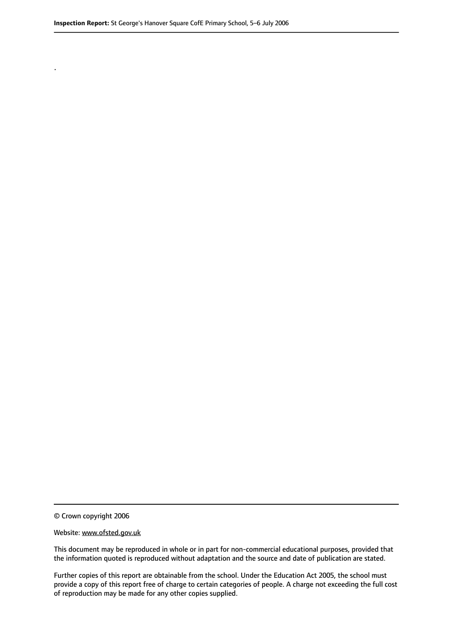.

© Crown copyright 2006

#### Website: www.ofsted.gov.uk

This document may be reproduced in whole or in part for non-commercial educational purposes, provided that the information quoted is reproduced without adaptation and the source and date of publication are stated.

Further copies of this report are obtainable from the school. Under the Education Act 2005, the school must provide a copy of this report free of charge to certain categories of people. A charge not exceeding the full cost of reproduction may be made for any other copies supplied.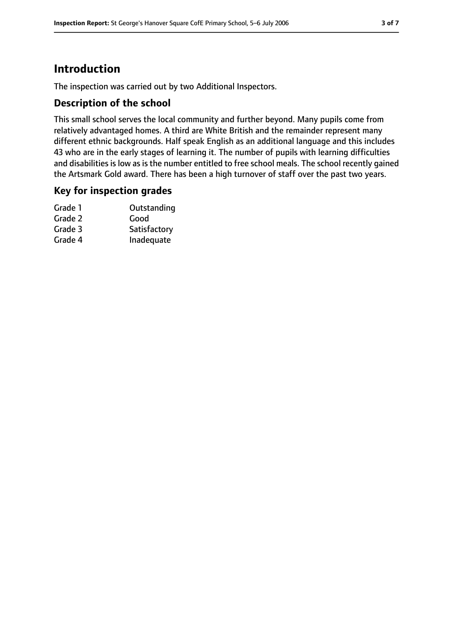# **Introduction**

The inspection was carried out by two Additional Inspectors.

### **Description of the school**

This small school serves the local community and further beyond. Many pupils come from relatively advantaged homes. A third are White British and the remainder represent many different ethnic backgrounds. Half speak English as an additional language and this includes 43 who are in the early stages of learning it. The number of pupils with learning difficulties and disabilities is low as is the number entitled to free school meals. The school recently gained the Artsmark Gold award. There has been a high turnover of staff over the past two years.

### **Key for inspection grades**

| Grade 1 | Outstanding  |
|---------|--------------|
| Grade 2 | Good         |
| Grade 3 | Satisfactory |
| Grade 4 | Inadequate   |
|         |              |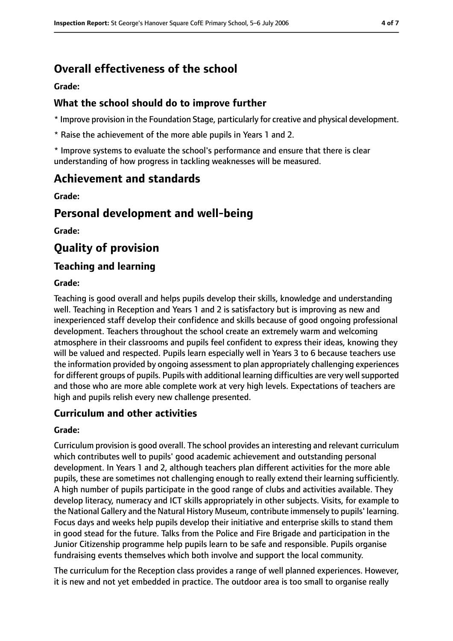# **Overall effectiveness of the school**

**Grade:**

### **What the school should do to improve further**

\* Improve provision in the Foundation Stage, particularly for creative and physical development.

\* Raise the achievement of the more able pupils in Years 1 and 2.

\* Improve systems to evaluate the school's performance and ensure that there is clear understanding of how progress in tackling weaknesses will be measured.

## **Achievement and standards**

**Grade:**

### **Personal development and well-being**

**Grade:**

# **Quality of provision**

### **Teaching and learning**

#### **Grade:**

Teaching is good overall and helps pupils develop their skills, knowledge and understanding well. Teaching in Reception and Years 1 and 2 is satisfactory but is improving as new and inexperienced staff develop their confidence and skills because of good ongoing professional development. Teachers throughout the school create an extremely warm and welcoming atmosphere in their classrooms and pupils feel confident to express their ideas, knowing they will be valued and respected. Pupils learn especially well in Years 3 to 6 because teachers use the information provided by ongoing assessment to plan appropriately challenging experiences for different groups of pupils. Pupils with additional learning difficulties are very well supported and those who are more able complete work at very high levels. Expectations of teachers are high and pupils relish every new challenge presented.

### **Curriculum and other activities**

#### **Grade:**

Curriculum provision is good overall. The school provides an interesting and relevant curriculum which contributes well to pupils' good academic achievement and outstanding personal development. In Years 1 and 2, although teachers plan different activities for the more able pupils, these are sometimes not challenging enough to really extend their learning sufficiently. A high number of pupils participate in the good range of clubs and activities available. They develop literacy, numeracy and ICT skills appropriately in other subjects. Visits, for example to the National Gallery and the Natural History Museum, contribute immensely to pupils' learning. Focus days and weeks help pupils develop their initiative and enterprise skills to stand them in good stead for the future. Talks from the Police and Fire Brigade and participation in the Junior Citizenship programme help pupils learn to be safe and responsible. Pupils organise fundraising events themselves which both involve and support the local community.

The curriculum for the Reception class provides a range of well planned experiences. However, it is new and not yet embedded in practice. The outdoor area is too small to organise really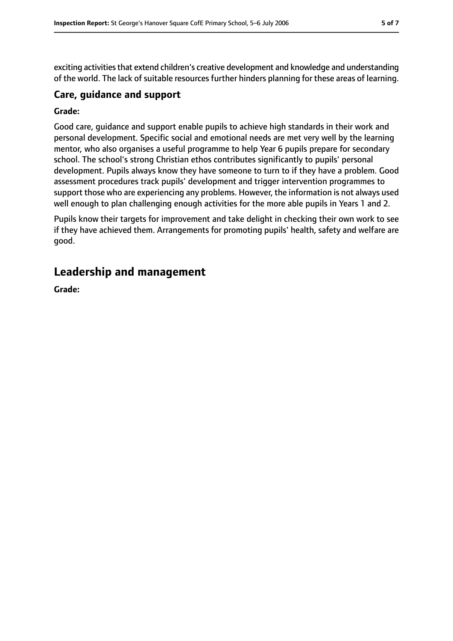exciting activities that extend children's creative development and knowledge and understanding of the world. The lack of suitable resources further hinders planning for these areas of learning.

#### **Care, guidance and support**

#### **Grade:**

Good care, guidance and support enable pupils to achieve high standards in their work and personal development. Specific social and emotional needs are met very well by the learning mentor, who also organises a useful programme to help Year 6 pupils prepare for secondary school. The school's strong Christian ethos contributes significantly to pupils' personal development. Pupils always know they have someone to turn to if they have a problem. Good assessment procedures track pupils' development and trigger intervention programmes to support those who are experiencing any problems. However, the information is not always used well enough to plan challenging enough activities for the more able pupils in Years 1 and 2.

Pupils know their targets for improvement and take delight in checking their own work to see if they have achieved them. Arrangements for promoting pupils' health, safety and welfare are good.

### **Leadership and management**

**Grade:**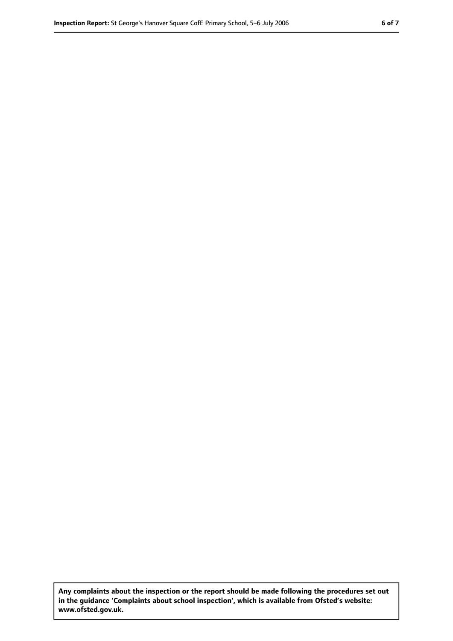**Any complaints about the inspection or the report should be made following the procedures set out in the guidance 'Complaints about school inspection', which is available from Ofsted's website: www.ofsted.gov.uk.**